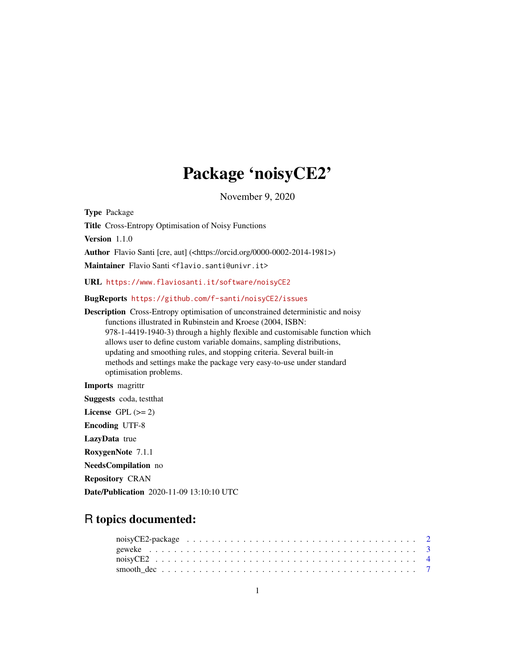## Package 'noisyCE2'

November 9, 2020

<span id="page-0-0"></span>Type Package Title Cross-Entropy Optimisation of Noisy Functions Version 1.1.0 Author Flavio Santi [cre, aut] (<https://orcid.org/0000-0002-2014-1981>) Maintainer Flavio Santi <flavio.santi@univr.it> URL <https://www.flaviosanti.it/software/noisyCE2> BugReports <https://github.com/f-santi/noisyCE2/issues> Description Cross-Entropy optimisation of unconstrained deterministic and noisy functions illustrated in Rubinstein and Kroese (2004, ISBN: 978-1-4419-1940-3) through a highly flexible and customisable function which allows user to define custom variable domains, sampling distributions,

updating and smoothing rules, and stopping criteria. Several built-in methods and settings make the package very easy-to-use under standard optimisation problems.

Imports magrittr

Suggests coda, testthat License GPL  $(>= 2)$ Encoding UTF-8 LazyData true RoxygenNote 7.1.1 NeedsCompilation no Repository CRAN Date/Publication 2020-11-09 13:10:10 UTC

### R topics documented: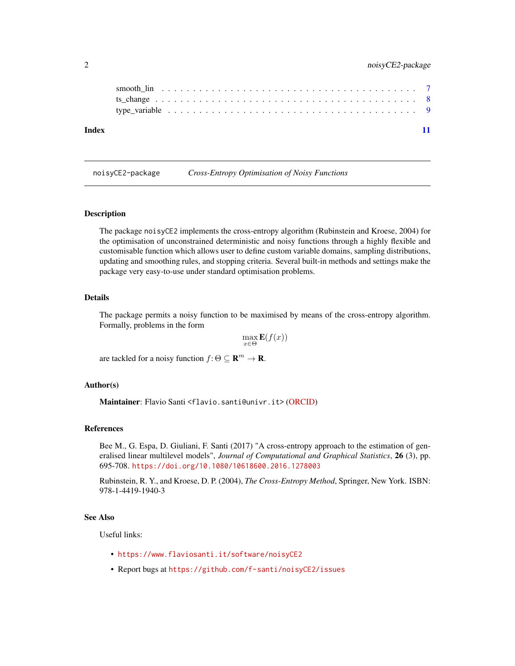<span id="page-1-0"></span>

#### **Index** [11](#page-10-0)

noisyCE2-package *Cross-Entropy Optimisation of Noisy Functions*

#### Description

The package noisyCE2 implements the cross-entropy algorithm (Rubinstein and Kroese, 2004) for the optimisation of unconstrained deterministic and noisy functions through a highly flexible and customisable function which allows user to define custom variable domains, sampling distributions, updating and smoothing rules, and stopping criteria. Several built-in methods and settings make the package very easy-to-use under standard optimisation problems.

#### Details

The package permits a noisy function to be maximised by means of the cross-entropy algorithm. Formally, problems in the form

$$
\max_{x \in \Theta} \mathbf{E}(f(x))
$$

are tackled for a noisy function  $f: \Theta \subseteq \mathbb{R}^m \to \mathbb{R}$ .

#### Author(s)

Maintainer: Flavio Santi <flavio.santi@univr.it> [\(ORCID\)](https://orcid.org/0000-0002-2014-1981)

#### References

Bee M., G. Espa, D. Giuliani, F. Santi (2017) "A cross-entropy approach to the estimation of generalised linear multilevel models", *Journal of Computational and Graphical Statistics*, 26 (3), pp. 695-708. <https://doi.org/10.1080/10618600.2016.1278003>

Rubinstein, R. Y., and Kroese, D. P. (2004), *The Cross-Entropy Method*, Springer, New York. ISBN: 978-1-4419-1940-3

#### See Also

Useful links:

- <https://www.flaviosanti.it/software/noisyCE2>
- Report bugs at <https://github.com/f-santi/noisyCE2/issues>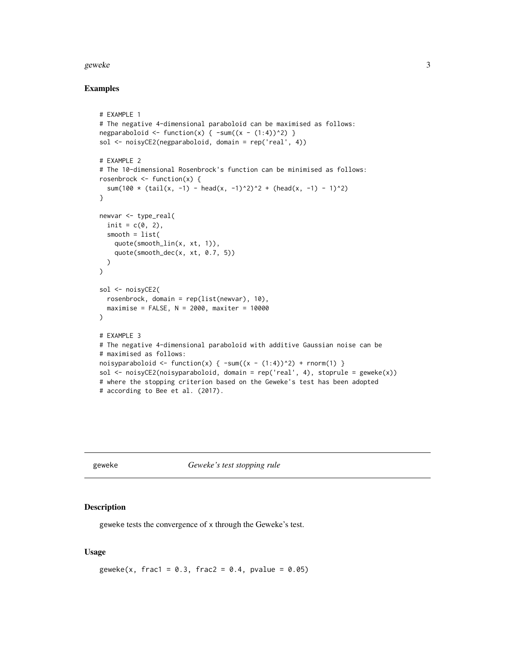#### <span id="page-2-0"></span>geweke 33 and 33 and 33 and 33 and 33 and 33 and 33 and 33 and 33 and 33 and 33 and 33 and 33 and 33 and 33 and 33 and 33 and 33 and 33 and 33 and 33 and 33 and 33 and 33 and 33 and 33 and 33 and 33 and 33 and 33 and 33 an

#### Examples

```
# EXAMPLE 1
# The negative 4-dimensional paraboloid can be maximised as follows:
negparaboloid <- function(x) { \text{-sum}((x - (1:4))^2) }
sol <- noisyCE2(negparaboloid, domain = rep('real', 4))
# EXAMPLE 2
# The 10-dimensional Rosenbrock's function can be minimised as follows:
rosenbrock \leq function(x) {
  sum(100 * (tail(x, -1) - head(x, -1)^2)^2 + (head(x, -1) - 1)^2)
}
newvar <- type_real(
  init = c(0, 2),
  smooth = list(
    quote(smooth_lin(x, xt, 1)),
    quote(smooth_dec(x, xt, 0.7, 5))
  )
)
sol <- noisyCE2(
  rosenbrock, domain = rep(list(newvar), 10),
  maximize = FALSE, N = 2000, maxiter = 10000\lambda# EXAMPLE 3
# The negative 4-dimensional paraboloid with additive Gaussian noise can be
# maximised as follows:
noisyparaboloid <- function(x) { \text{-sum}((x - (1:4))^2) + rnorm(1) }
sol <- noisyCE2(noisyparaboloid, domain = rep('real', 4), stoprule = geweke(x))
# where the stopping criterion based on the Geweke's test has been adopted
# according to Bee et al. (2017).
```
<span id="page-2-1"></span>

geweke *Geweke's test stopping rule*

#### Description

geweke tests the convergence of x through the Geweke's test.

#### Usage

```
geweke(x, frac1 = 0.3, frac2 = 0.4, pvalue = 0.05)
```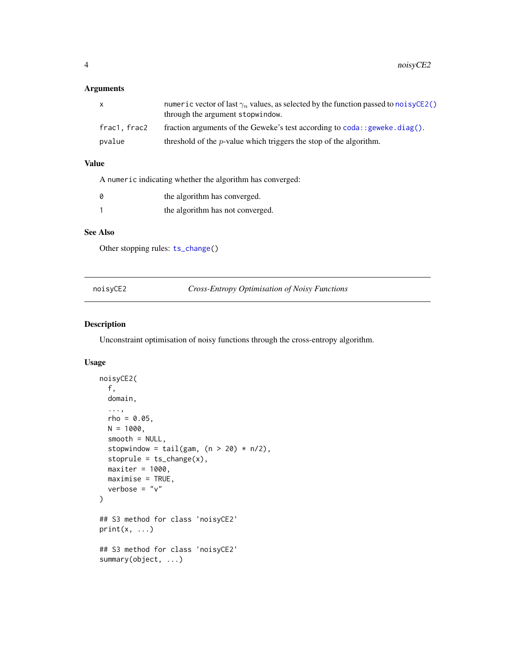#### <span id="page-3-0"></span>Arguments

| x            | numeric vector of last $\gamma_n$ values, as selected by the function passed to noisyCE2()<br>through the argument stopwindow. |
|--------------|--------------------------------------------------------------------------------------------------------------------------------|
| frac1. frac2 | fraction arguments of the Geweke's test according to $\text{cod}$ : geweke. $\text{diag}()$ .                                  |
| pvalue       | threshold of the $p$ -value which triggers the stop of the algorithm.                                                          |

#### Value

A numeric indicating whether the algorithm has converged:

| the algorithm has converged.     |
|----------------------------------|
| the algorithm has not converged. |

#### See Also

Other stopping rules: [ts\\_change\(](#page-7-1))

<span id="page-3-1"></span>noisyCE2 *Cross-Entropy Optimisation of Noisy Functions*

#### Description

Unconstraint optimisation of noisy functions through the cross-entropy algorithm.

#### Usage

```
noisyCE2(
  f,
  domain,
  ...,
  rho = 0.05,
 N = 1000,smooth = NULL,
  stopwindow = tail(gam, (n > 20) * n/2),
  stoprule = ts_change(x),maxiter = 1000,maximize = TRUE,verbose = "v")
## S3 method for class 'noisyCE2'
print(x, \ldots)## S3 method for class 'noisyCE2'
summary(object, ...)
```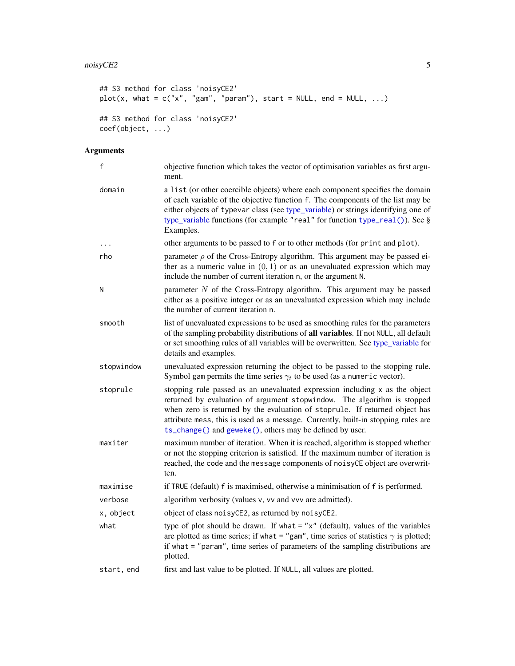#### <span id="page-4-0"></span>noisyCE2 5

```
## S3 method for class 'noisyCE2'
plot(x, what = c("x", "gam", "param"), start = NULL, end = NULL, ...)## S3 method for class 'noisyCE2'
coef(object, ...)
```
#### Arguments

| f          | objective function which takes the vector of optimisation variables as first argu-<br>ment.                                                                                                                                                                                                                                                                                            |
|------------|----------------------------------------------------------------------------------------------------------------------------------------------------------------------------------------------------------------------------------------------------------------------------------------------------------------------------------------------------------------------------------------|
| domain     | a list (or other coercible objects) where each component specifies the domain<br>of each variable of the objective function f. The components of the list may be<br>either objects of typevar class (see type_variable) or strings identifying one of<br>type_variable functions (for example "real" for function type_real()). See §<br>Examples.                                     |
|            | other arguments to be passed to f or to other methods (for print and plot).                                                                                                                                                                                                                                                                                                            |
| rho        | parameter $\rho$ of the Cross-Entropy algorithm. This argument may be passed ei-<br>ther as a numeric value in $(0, 1)$ or as an unevaluated expression which may<br>include the number of current iteration n, or the argument N.                                                                                                                                                     |
| N          | parameter $N$ of the Cross-Entropy algorithm. This argument may be passed<br>either as a positive integer or as an unevaluated expression which may include<br>the number of current iteration n.                                                                                                                                                                                      |
| smooth     | list of unevaluated expressions to be used as smoothing rules for the parameters<br>of the sampling probability distributions of all variables. If not NULL, all default<br>or set smoothing rules of all variables will be overwritten. See type_variable for<br>details and examples.                                                                                                |
| stopwindow | unevaluated expression returning the object to be passed to the stopping rule.<br>Symbol gam permits the time series $\gamma_t$ to be used (as a numeric vector).                                                                                                                                                                                                                      |
| stoprule   | stopping rule passed as an unevaluated expression including x as the object<br>returned by evaluation of argument stopwindow. The algorithm is stopped<br>when zero is returned by the evaluation of stoprule. If returned object has<br>attribute mess, this is used as a message. Currently, built-in stopping rules are<br>ts_change() and geweke(), others may be defined by user. |
| maxiter    | maximum number of iteration. When it is reached, algorithm is stopped whether<br>or not the stopping criterion is satisfied. If the maximum number of iteration is<br>reached, the code and the message components of noisyCE object are overwrit-<br>ten.                                                                                                                             |
| maximise   | if TRUE (default) f is maximised, otherwise a minimisation of f is performed.                                                                                                                                                                                                                                                                                                          |
| verbose    | algorithm verbosity (values v, vv and vvv are admitted).                                                                                                                                                                                                                                                                                                                               |
| x, object  | object of class noisyCE2, as returned by noisyCE2.                                                                                                                                                                                                                                                                                                                                     |
| what       | type of plot should be drawn. If what $=$ " $x$ " (default), values of the variables<br>are plotted as time series; if what = "gam", time series of statistics $\gamma$ is plotted;<br>if what = "param", time series of parameters of the sampling distributions are<br>plotted.                                                                                                      |
| start, end | first and last value to be plotted. If NULL, all values are plotted.                                                                                                                                                                                                                                                                                                                   |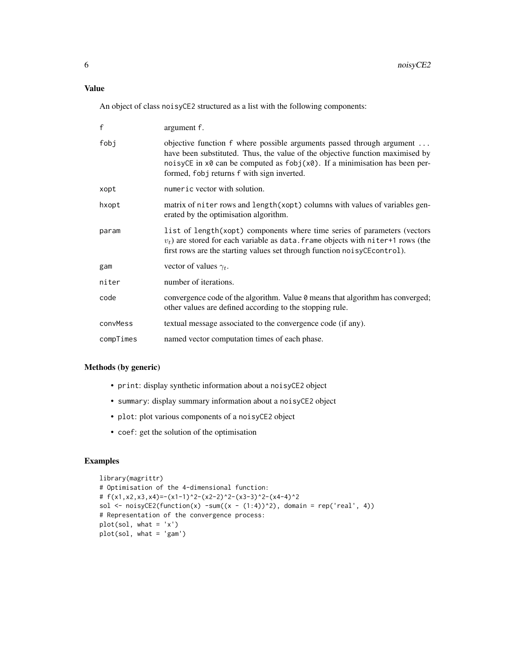#### Value

An object of class noisyCE2 structured as a list with the following components:

| $\mathsf{f}$ | argument f.                                                                                                                                                                                                                                                                                                 |
|--------------|-------------------------------------------------------------------------------------------------------------------------------------------------------------------------------------------------------------------------------------------------------------------------------------------------------------|
| fobj         | objective function f where possible arguments passed through argument<br>have been substituted. Thus, the value of the objective function maximised by<br>noisyCE in $x\theta$ can be computed as $f \circ b$ j( $x\theta$ ). If a minimisation has been per-<br>formed, fobj returns f with sign inverted. |
| xopt         | numeric vector with solution.                                                                                                                                                                                                                                                                               |
| hxopt        | matrix of niter rows and length (xopt) columns with values of variables gen-<br>erated by the optimisation algorithm.                                                                                                                                                                                       |
| param        | list of length(xopt) components where time series of parameters (vectors<br>$v_t$ ) are stored for each variable as data. Frame objects with niter+1 rows (the<br>first rows are the starting values set through function noisyCE control).                                                                 |
| gam          | vector of values $\gamma_t$ .                                                                                                                                                                                                                                                                               |
| niter        | number of iterations.                                                                                                                                                                                                                                                                                       |
| code         | convergence code of the algorithm. Value 0 means that algorithm has converged;<br>other values are defined according to the stopping rule.                                                                                                                                                                  |
| convMess     | textual message associated to the convergence code (if any).                                                                                                                                                                                                                                                |
| compTimes    | named vector computation times of each phase.                                                                                                                                                                                                                                                               |

#### Methods (by generic)

- print: display synthetic information about a noisyCE2 object
- summary: display summary information about a noisyCE2 object
- plot: plot various components of a noisyCE2 object
- coef: get the solution of the optimisation

#### Examples

```
library(magrittr)
# Optimisation of the 4-dimensional function:
# f(x1, x2, x3, x4) = -(x1-1)^2 - (x2-2)^2 - (x3-3)^2 - (x4-4)^2sol <- noisyCE2(function(x) -sum((x - (1:4))^2), domain = rep('real', 4))
# Representation of the convergence process:
plot(sol, what = 'x')plot(sol, what = 'gam')
```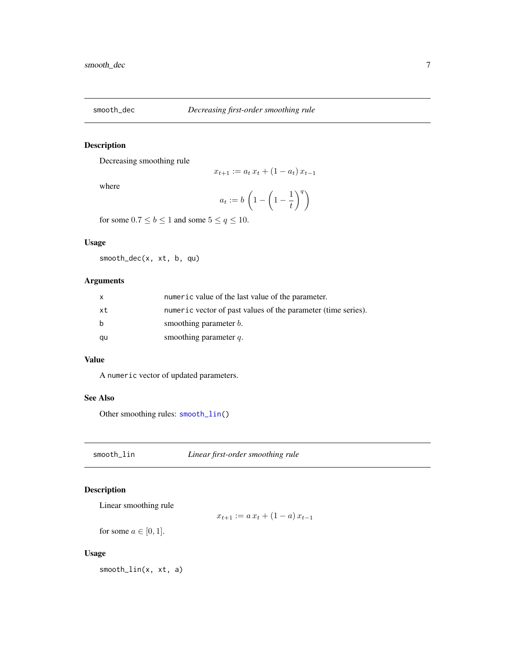<span id="page-6-2"></span><span id="page-6-0"></span>

#### Description

Decreasing smoothing rule

where

$$
a_t := b \left( 1 - \left( 1 - \frac{1}{t} \right)^q \right)
$$

 $x_{t+1} := a_t x_t + (1 - a_t) x_{t-1}$ 

for some  $0.7 \le b \le 1$  and some  $5 \le q \le 10$ .

#### Usage

smooth\_dec(x, xt, b, qu)

#### Arguments

| X  | numeric value of the last value of the parameter.             |
|----|---------------------------------------------------------------|
| xt | numeric vector of past values of the parameter (time series). |
| b  | smoothing parameter <i>b</i> .                                |
| qu | smoothing parameter $q$ .                                     |

#### Value

A numeric vector of updated parameters.

#### See Also

Other smoothing rules: [smooth\\_lin\(](#page-6-1))

<span id="page-6-1"></span>smooth\_lin *Linear first-order smoothing rule*

#### Description

Linear smoothing rule

 $x_{t+1} := a x_t + (1 - a) x_{t-1}$ 

for some  $a \in [0, 1]$ .

#### Usage

smooth\_lin(x, xt, a)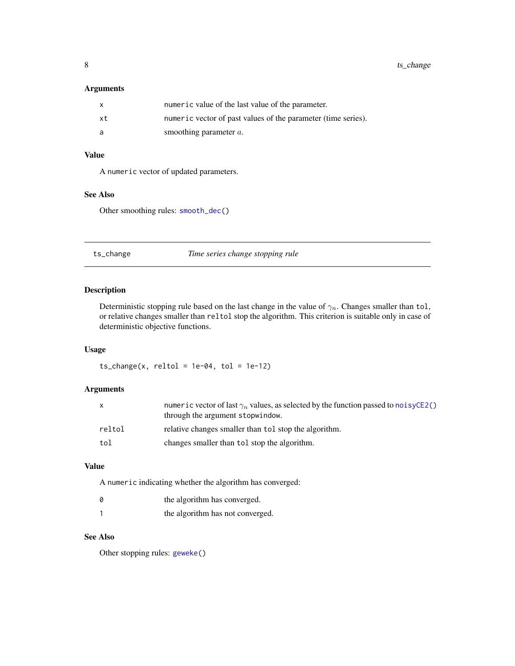#### <span id="page-7-0"></span>Arguments

| X   | numeric value of the last value of the parameter.             |
|-----|---------------------------------------------------------------|
| xt  | numeric vector of past values of the parameter (time series). |
| - a | smoothing parameter $a$ .                                     |

#### Value

A numeric vector of updated parameters.

#### See Also

Other smoothing rules: [smooth\\_dec\(](#page-6-2))

<span id="page-7-1"></span>ts\_change *Time series change stopping rule*

#### Description

Deterministic stopping rule based on the last change in the value of  $\gamma_n$ . Changes smaller than tol, or relative changes smaller than reltol stop the algorithm. This criterion is suitable only in case of deterministic objective functions.

#### Usage

 $ts_{change}(x,$  reltol = 1e-04, tol = 1e-12)

#### Arguments

|        | numeric vector of last $\gamma_n$ values, as selected by the function passed to noisyCE2()<br>through the argument stopwindow. |
|--------|--------------------------------------------------------------------------------------------------------------------------------|
| reltol | relative changes smaller than tol stop the algorithm.                                                                          |
| tol    | changes smaller than tol stop the algorithm.                                                                                   |

#### Value

A numeric indicating whether the algorithm has converged:

| 0 | the algorithm has converged.     |
|---|----------------------------------|
|   | the algorithm has not converged. |

#### See Also

Other stopping rules: [geweke\(](#page-2-1))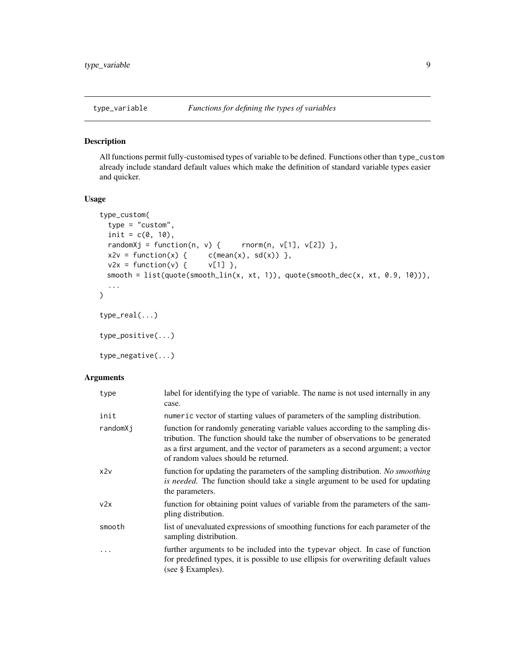<span id="page-8-1"></span><span id="page-8-0"></span>

#### <span id="page-8-2"></span>Description

All functions permit fully-customised types of variable to be defined. Functions other than type\_custom already include standard default values which make the definition of standard variable types easier and quicker.

#### Usage

```
type_custom(
 type = "custom",
 init = c(0, 10),
 randomXj = function(n, v) { rnorm(n, v[1], v[2]) },
 x2v = function(x) { c(mean(x), sd(x)) },
 v2x = function(v) { v[1] },
 smooth = list(quote(smooth_lin(x, xt, 1)), quote(smooth_dec(x, xt, 0.9, 10))),
  ...
\mathcal{L}type_real(...)
type_positive(...)
type_negative(...)
```
#### Arguments

| type     | label for identifying the type of variable. The name is not used internally in any<br>case.                                                                                                                                                                                                   |
|----------|-----------------------------------------------------------------------------------------------------------------------------------------------------------------------------------------------------------------------------------------------------------------------------------------------|
| init     | numeric vector of starting values of parameters of the sampling distribution.                                                                                                                                                                                                                 |
| randomXj | function for randomly generating variable values according to the sampling dis-<br>tribution. The function should take the number of observations to be generated<br>as a first argument, and the vector of parameters as a second argument; a vector<br>of random values should be returned. |
| x2v      | function for updating the parameters of the sampling distribution. No smoothing<br>is needed. The function should take a single argument to be used for updating<br>the parameters.                                                                                                           |
| v2x      | function for obtaining point values of variable from the parameters of the sam-<br>pling distribution.                                                                                                                                                                                        |
| smooth   | list of unevaluated expressions of smoothing functions for each parameter of the<br>sampling distribution.                                                                                                                                                                                    |
| .        | further arguments to be included into the typevar object. In case of function<br>for predefined types, it is possible to use ellipsis for overwriting default values<br>(see $\S$ Examples).                                                                                                  |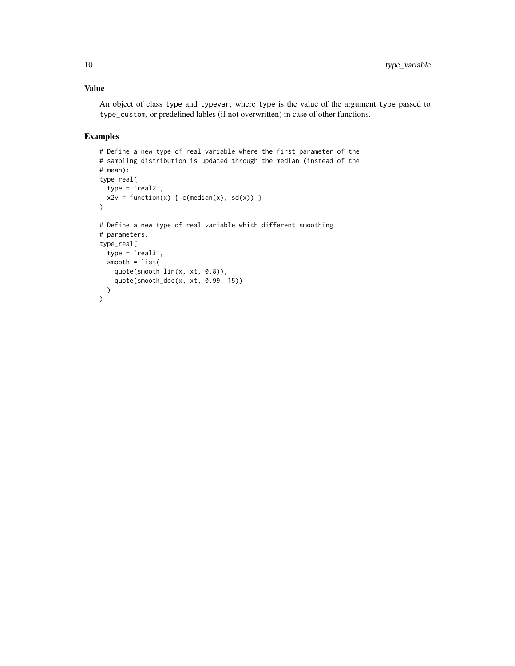#### Value

An object of class type and typevar, where type is the value of the argument type passed to type\_custom, or predefined lables (if not overwritten) in case of other functions.

#### Examples

```
# Define a new type of real variable where the first parameter of the
# sampling distribution is updated through the median (instead of the
# mean):
type_real(
 type = 'real2',
  x2v = function(x) { c(median(x), sd(x)) }\lambda# Define a new type of real variable whith different smoothing
# parameters:
type_real(
 type = 'real3',
  smooth = list(
   quote(smooth_lin(x, xt, 0.8)),
    quote(smooth_dec(x, xt, 0.99, 15))
  )
)
```